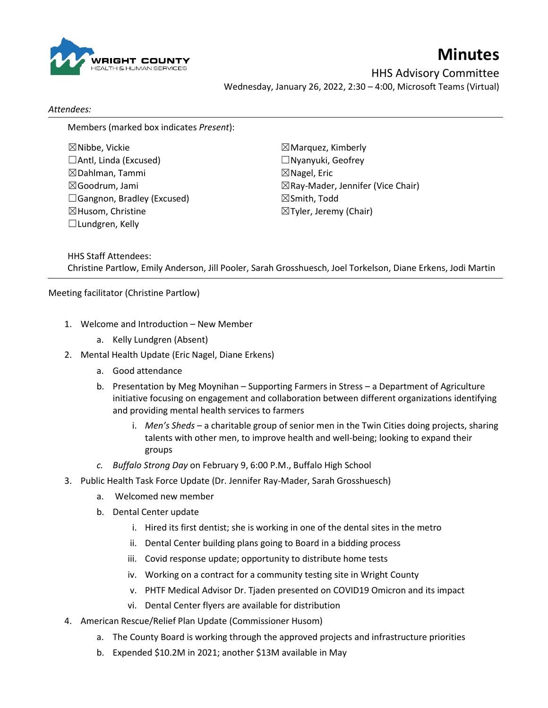

## **Minutes**

HHS Advisory Committee Wednesday, January 26, 2022, 2:30 – 4:00, Microsoft Teams (Virtual)

## *Attendees:*

Members (marked box indicates *Present*):

☒Nibbe, Vickie ☐Antl, Linda (Excused) ☒Dahlman, Tammi ☒Goodrum, Jami □Gangnon, Bradley (Excused) ☒Husom, Christine  $\Box$ Lundgren, Kelly

☒Marquez, Kimberly ☐Nyanyuki, Geofrey  $\boxtimes$  Nagel, Eric ☒Ray-Mader, Jennifer (Vice Chair) ☒Smith, Todd ☒Tyler, Jeremy (Chair)

HHS Staff Attendees: Christine Partlow, Emily Anderson, Jill Pooler, Sarah Grosshuesch, Joel Torkelson, Diane Erkens, Jodi Martin

Meeting facilitator (Christine Partlow)

- 1. Welcome and Introduction New Member
	- a. Kelly Lundgren (Absent)
- 2. Mental Health Update (Eric Nagel, Diane Erkens)
	- a. Good attendance
	- b. Presentation by Meg Moynihan Supporting Farmers in Stress a Department of Agriculture initiative focusing on engagement and collaboration between different organizations identifying and providing mental health services to farmers
		- i. *Men's Sheds* a charitable group of senior men in the Twin Cities doing projects, sharing talents with other men, to improve health and well-being; looking to expand their groups
	- *c. Buffalo Strong Day* on February 9, 6:00 P.M., Buffalo High School
- 3. Public Health Task Force Update (Dr. Jennifer Ray-Mader, Sarah Grosshuesch)
	- a. Welcomed new member
	- b. Dental Center update
		- i. Hired its first dentist; she is working in one of the dental sites in the metro
		- ii. Dental Center building plans going to Board in a bidding process
		- iii. Covid response update; opportunity to distribute home tests
		- iv. Working on a contract for a community testing site in Wright County
		- v. PHTF Medical Advisor Dr. Tjaden presented on COVID19 Omicron and its impact
		- vi. Dental Center flyers are available for distribution
- 4. American Rescue/Relief Plan Update (Commissioner Husom)
	- a. The County Board is working through the approved projects and infrastructure priorities
	- b. Expended \$10.2M in 2021; another \$13M available in May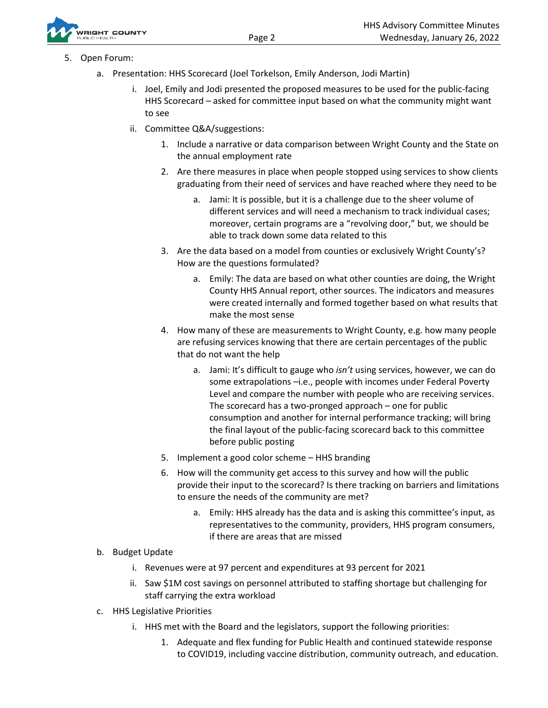

- 5. Open Forum:
	- a. Presentation: HHS Scorecard (Joel Torkelson, Emily Anderson, Jodi Martin)
		- i. Joel, Emily and Jodi presented the proposed measures to be used for the public-facing HHS Scorecard – asked for committee input based on what the community might want to see
		- ii. Committee Q&A/suggestions:
			- 1. Include a narrative or data comparison between Wright County and the State on the annual employment rate
			- 2. Are there measures in place when people stopped using services to show clients graduating from their need of services and have reached where they need to be
				- a. Jami: It is possible, but it is a challenge due to the sheer volume of different services and will need a mechanism to track individual cases; moreover, certain programs are a "revolving door," but, we should be able to track down some data related to this
			- 3. Are the data based on a model from counties or exclusively Wright County's? How are the questions formulated?
				- a. Emily: The data are based on what other counties are doing, the Wright County HHS Annual report, other sources. The indicators and measures were created internally and formed together based on what results that make the most sense
			- 4. How many of these are measurements to Wright County, e.g. how many people are refusing services knowing that there are certain percentages of the public that do not want the help
				- a. Jami: It's difficult to gauge who *isn't* using services, however, we can do some extrapolations –i.e., people with incomes under Federal Poverty Level and compare the number with people who are receiving services. The scorecard has a two-pronged approach – one for public consumption and another for internal performance tracking; will bring the final layout of the public-facing scorecard back to this committee before public posting
			- 5. Implement a good color scheme HHS branding
			- 6. How will the community get access to this survey and how will the public provide their input to the scorecard? Is there tracking on barriers and limitations to ensure the needs of the community are met?
				- a. Emily: HHS already has the data and is asking this committee's input, as representatives to the community, providers, HHS program consumers, if there are areas that are missed
	- b. Budget Update
		- i. Revenues were at 97 percent and expenditures at 93 percent for 2021
		- ii. Saw \$1M cost savings on personnel attributed to staffing shortage but challenging for staff carrying the extra workload
	- c. HHS Legislative Priorities
		- i. HHS met with the Board and the legislators, support the following priorities:
			- 1. Adequate and flex funding for Public Health and continued statewide response to COVID19, including vaccine distribution, community outreach, and education.